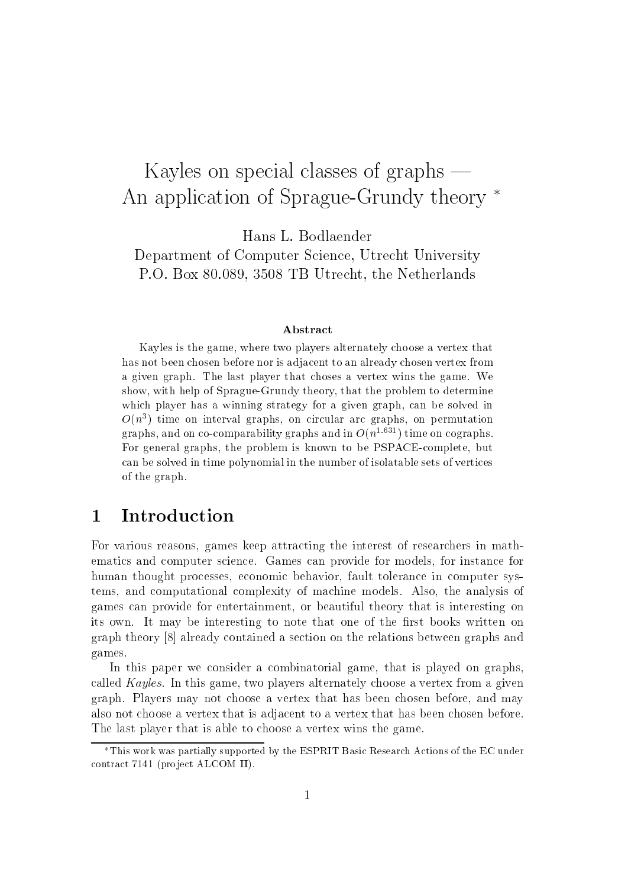# Kayles on special classes of graphs  $-$ An application of Sprague-Grundy theory  $*$

Department of Computer Science, Utrecht University P.O. Box 80.089, <sup>3508</sup> TB Utrecht, the Netherlands

#### Abstract

Kayles is the game, where two players alternately choose a vertex that has not been chosen before nor is adjacent to an already chosen vertex from a given graph. The last player that choses a vertex wins the game. We show, with help of Sprague-Grundy theory, that the problem to determine which player has a winning strategy for a given graph, can be solved in  $O(n^2)$  time on interval graphs, on circular arc graphs, on permutation graphs, and on co-comparability graphs and in  $O(n^{1.631})$  time on cographs. For general graphs, the problem is known to be PSPACE-complete, but can be solved in time polynomial in the number of isolatable sets of vertices of the graph.

### 1 Introduction

For various reasons, games keep attracting the interest of researchers in mathematics and computer science. Games can provide for models, for instance for human thought processes, economic behavior, fault tolerance in computer systems, and computational complexity of machine models. Also, the analysis of games can provide for entertainment, or beautiful theory that is interesting on its own. It may be interesting to note that one of the first books written on graph theory [8] already contained a section on the relations between graphs and games.

In this paper we consider a combinatorial game, that is played on graphs, called Kayles. In this game, two players alternately choose a vertex from a given graph. Players may not choose a vertex that has been chosen before, and may also not choose a vertex that is adjacent to a vertex that has been chosen before. The last player that is able to choose a vertex wins the game.

This work was partially supported by the ESPRIT Basic Research Actions of the EC under contract 7141 (project ALCOM II).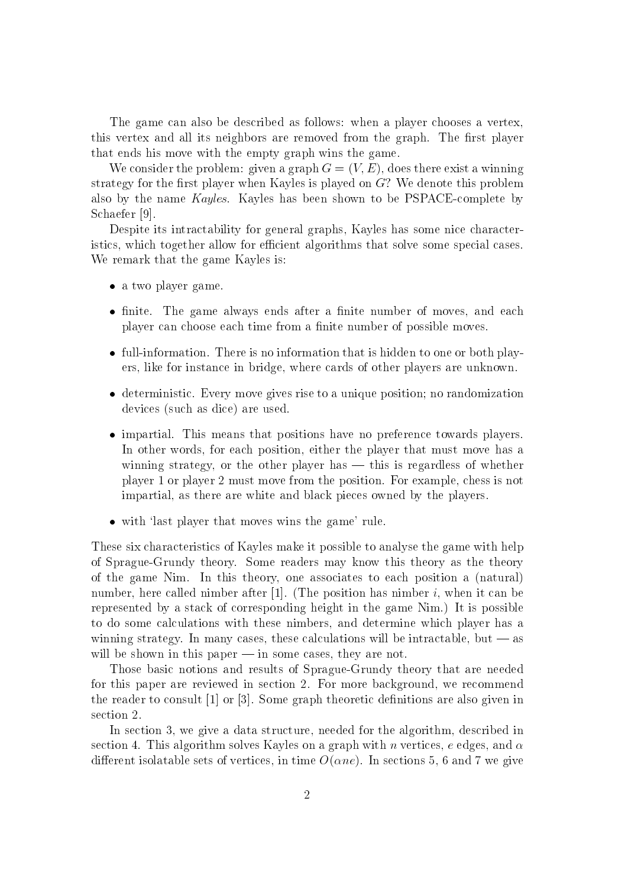The game can also be described as follows: when a player chooses a vertex, this vertex and all its neighbors are removed from the graph. The first player that ends his move with the empty graph wins the game.

We consider the problem: given a graph  $G = (V, E)$ , does there exist a winning strategy for the first player when Kayles is played on  $G$ ? We denote this problem also by the name Kayles. Kayles has been shown to be PSPACE-complete by Schaefer [9].

Despite its intractability for general graphs, Kayles has some nice characteristics, which together allow for efficient algorithms that solve some special cases. We remark that the game Kayles is:

- as two player player game.
- nite. The game always ends after a nite number of moves, and each player can choose each time from a finite number of possible moves.
- full-information. There is no information that is hidden to one or both players, like for instance in bridge, where cards of other players are unknown.
- deterministic. Every move gives rise to a unique position; no randomization devices (such as dice) are used.
- impartial. This means that positions have no preference towards players. In other words, for each position, either the player that must move has a winning strategy, or the other player has  $-$  this is regardless of whether player 1 or player 2 must move from the position. For example, chess is not impartial, as there are white and black pieces owned by the players.
- with 'last player that moves wins the game' rule.

These six characteristics of Kayles make it possible to analyse the game with help of Sprague-Grundy theory. Some readers may know this theory as the theory of the game Nim. In this theory, one associates to each position a (natural) number, here called nimber after [1]. (The position has nimber i, when it can be represented by a stack of corresponding height in the game Nim.) It is possible to do some calculations with these nimbers, and determine which player has a winning strategy. In many cases, these calculations will be intractable, but  $-$  as will be shown in this paper  $-$  in some cases, they are not.

Those basic notions and results of Sprague-Grundy theory that are needed for this paper are reviewed in section 2. For more background, we recommend the reader to consult [1] or [3]. Some graph theoretic definitions are also given in section 2.

In section 3, we give a data structure, needed for the algorithm, described in section 4. This algorithm solves Kayles on a graph with n vertices, e edges, and  $\alpha$ different isolatable sets of vertices, in time  $O(\alpha ne)$ . In sections 5, 6 and 7 we give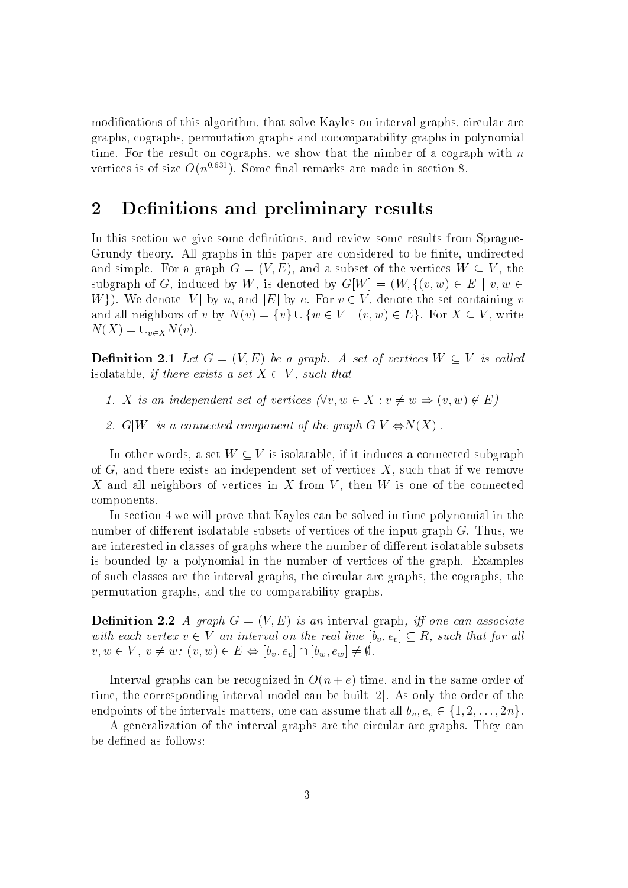modifications of this algorithm, that solve Kayles on interval graphs, circular arc graphs, cographs, permutation graphs and cocomparability graphs in polynomial time. For the result on cographs, we show that the nimber of a cograph with  $n$ vertices is of size  $O(n^{0.631})$ . Some final remarks are made in section 8.

## 2 Definitions and preliminary results

In this section we give some definitions, and review some results from Sprague-Grundy theory. All graphs in this paper are considered to be finite, undirected and simple. For a graph  $G = (V, E)$ , and a subset of the vertices  $W \subset V$ , the subgraph of G, induced by W, is denoted by  $G[W] = (W, \{(v, w) \in E \mid v, w \in$ W. We denote |V| by n, and |E| by e. For  $v \in V$ , denote the set containing v and all neighbors of v by  $N(v) = \{v\} \cup \{w \in V \mid (v, w) \in E\}$ . For  $X \subseteq V$ , write  $N(X) = \bigcup_{v \in X} N(v).$ 

**Definition 2.1** Let  $G = (V, E)$  be a graph. A set of vertices  $W \subset V$  is called isolatable, if there exists a set  $X \subset V$ , such that

- 1. X is an independent set of vertices  $(\forall v, w \in X : v \neq w \Rightarrow (v, w) \notin E)$
- 2. G[W] is a connected component of the graph  $G[V \Leftrightarrow N(X)]$ .

In other words, a set  $W \subset V$  is isolatable, if it induces a connected subgraph of  $G$ , and there exists an independent set of vertices  $X$ , such that if we remove X and all neighbors of vertices in X from  $V$ , then  $W$  is one of the connected components.

In section 4 we will prove that Kayles can be solved in time polynomial in the number of different isolatable subsets of vertices of the input graph  $G$ . Thus, we are interested in classes of graphs where the number of different isolatable subsets is bounded by a polynomial in the number of vertices of the graph. Examples of such classes are the interval graphs, the circular arc graphs, the cographs, the permutation graphs, and the co-comparability graphs.

**Definition 2.2** A graph  $G = (V, E)$  is an interval graph, iff one can associate with each vertex  $v \in V$  an interval on the real line  $[b_v, e_v] \subseteq R$ , such that for all  $v, w \in V, v \neq w$ :  $(v, w) \in E \Leftrightarrow [b_v, e_v] \cap [b_w, e_w] \neq \emptyset$ .

Interval graphs can be recognized in  $O(n + e)$  time, and in the same order of time, the corresponding interval model can be built [2]. As only the order of the endpoints of the intervals matters, one can assume that all  $b_v, e_v \in \{1, 2, \ldots, 2n\}.$ 

A generalization of the interval graphs are the circular arc graphs. They can be defined as follows: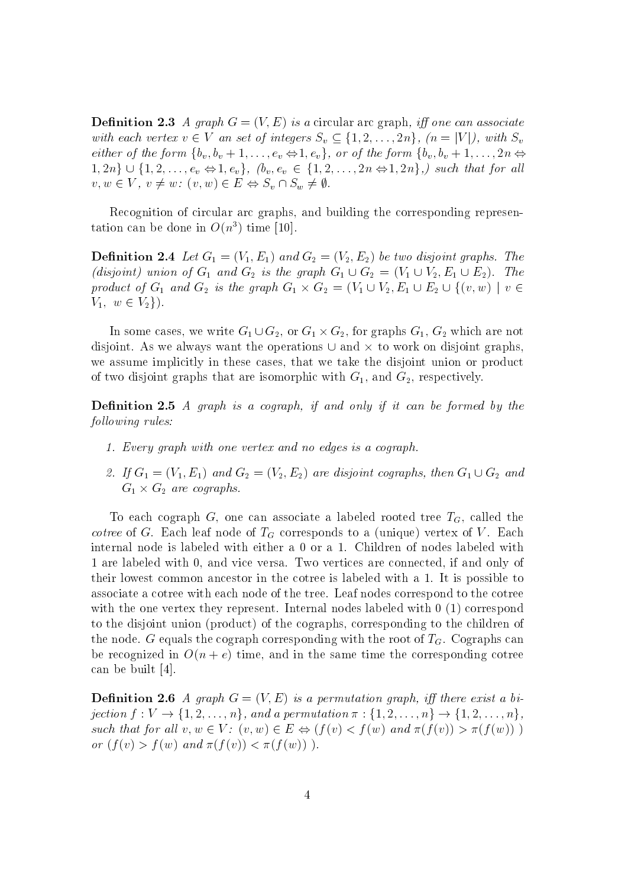**Definition 2.3** A graph  $G = (V, E)$  is a circular arc graph, iff one can associate with each vertex  $v \in V$  an set of integers  $S_v \subseteq \{1, 2, \ldots, 2n\}$ ,  $(n = |V|)$ , with  $S_v$ either of the form  $\{b_v, b_v + 1, \ldots, e_v \Leftrightarrow 1, e_v\}$ , or of the form  $\{b_v, b_v + 1, \ldots, 2n \Leftrightarrow$  $1, 2n\} \cup \{1, 2, \ldots, e_v \Leftrightarrow 1, e_v\}, \; (b_v, e_v \in \{1, 2, \ldots, 2n \Leftrightarrow 1, 2n\},) \; such \; that \; for \; all$  $v, w \in V, v \neq w: (v, w) \in E \Leftrightarrow S_v \cap S_w \neq \emptyset.$ 

Recognition of circular arc graphs, and building the corresponding representation can be done in  $O(n^3)$  time [10].

 $\blacksquare$  denote 2.4  $\blacksquare$  . The contract  $\blacksquare$  and  $\blacksquare$  and  $\blacksquare$  and  $\blacksquare$  and  $\blacksquare$  . The two distortions  $\blacksquare$ (disjoint) union of  $G_1$  and  $G_2$  is the graph  $G_1 \cup G_2 = (V_1 \cup V_2, E_1 \cup E_2)$ . The product of  $G_1$  and  $G_2$  is the graph  $G_1 \times G_2 = (V_1 \cup V_2)$ ulliaing the corresponding represen-<br>  $(V_2, E_2)$  be two disjoint graphs. The<br>  $G_1 \cup G_2 = (V_1 \cup V_2, E_1 \cup E_2)$ . The<br>  $= (V_1 \cup V_2, E_1 \cup E_2 \cup \{(v, w) \mid v \in$  $V_1, w \in V_2$ .

In some cases, we write  $G_1\cup G_2,$  or  $G_1\times G_2,$  for graphs  $G_1,$   $G_2$  which are not disjoint. As we always want the operations  $\cup$  and  $\times$  to work on disjoint graphs, we assume implicitly in these cases, that we take the disjoint union or product of two disjoint graphs that are isomorphic with  $G_1$ , and  $G_2$ , respectively.

**Definition 2.5** A graph is a cograph, if and only if it can be formed by the following rules:

- 1. Every graph with one vertex and no edges is a cograph.
- 2. If  $G_1 = (V_1, E_1)$  and  $G_2 = (V_2, E_2)$  are disjoint cographs, then  $G_1 \cup G_2$  and  $G_1 \times G_2$  are cographs.

To each cograph G, one can associate a labeled rooted tree  $T_G$ , called the *cotree* of G. Each leaf node of  $T_G$  corresponds to a (unique) vertex of V. Each internal node is labeled with either a 0 or a 1. Children of nodes labeled with 1 are labeled with 0, and vice versa. Two vertices are connected, if and only of their lowest common ancestor in the cotree is labeled with a 1.It is possible to associate a cotree with each node of the tree. Leaf nodes correspond to the cotree with the one vertex they represent. Internal nodes labeled with 0 (1) correspond to the disjoint union (product) of the cographs, corresponding to the children of the node. G equals the cograph corresponding with the root of  $T<sub>G</sub>$ . Cographs can be recognized in O(n + e) time,and in the same time the corresponding cotree can be built [4]. the node. G equals the cograph corresponding with the root of  $I_G$ . Cographs can<br>be recognized in  $O(n + e)$  time, and in the same time the corresponding cotree<br>can be built [4].<br>**Definition 2.6** A graph  $G = (V, E)$  is a permu

**Definition 2.6** A graph  $G = (V, E)$  is a permutation graph, iff there exist a bisuch that for all  $v, w \in V$ :  $(v, w) \in E \Leftrightarrow (f(v) < f(w))$  and  $\pi(f(v)) > \pi(f(w))$ ) or  $(f(v) > f(w)$  and  $\pi(f(v)) < \pi(f(w))$ .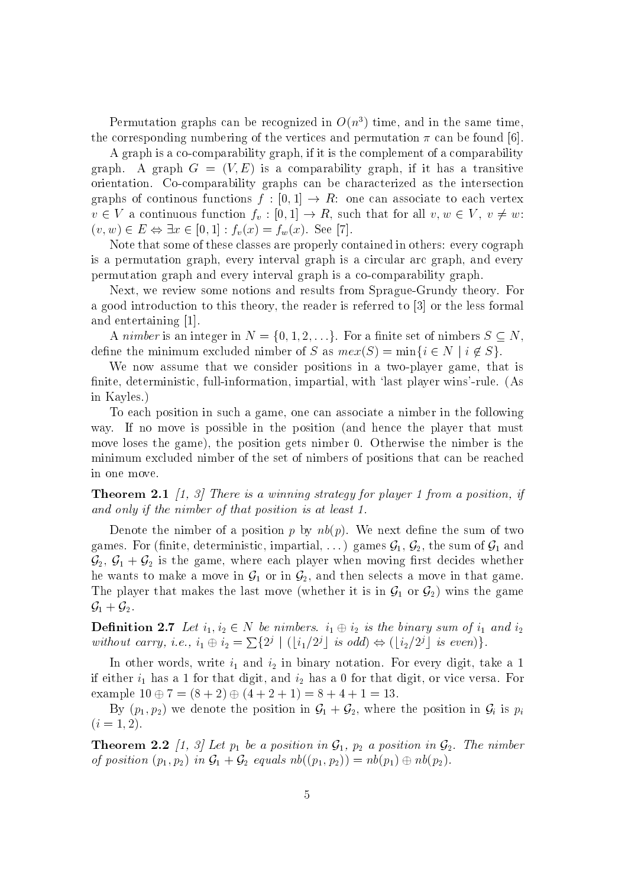Permutation graphs can be recognized in  $O(n^3)$  time, and in the same time, the corresponding numbering of the vertices and permutation  $\pi$  can be found [6].

A graph is a co-comparability graph, if it is the complement of a comparability graph. A graph  $G = (V, E)$  is a comparability graph, if it has a transitive orientation. Co-comparability graphs can be characterized as the intersection graphs of continous functions  $f : [0, 1] \rightarrow R$ : one can associate to each vertex  $v \in V$  a continuous function  $f_v : [0, 1] \to R$ , such that for all  $v, w \in V$ ,  $v \neq w$ : A graph is a co-comparability graph, if it is the con-<br>graph. A graph  $G = (V, E)$  is a comparability graphs can be charace<br>graphs of continuous functions  $f : [0, 1] \rightarrow R$ ; one ca $v \in V$  a continuous function  $f_v : [0, 1] \rightarrow R$ , suc

Note that some of these classes are properly contained in others: every cograph is a permutation graph, every interval graph is a circular arc graph, and every permutation graph and every interval graph is a co-comparability graph.

Next, we review some notions and results from Sprague-Grundy theory. For a good introduction to this theory, the reader is referred to [3] or the less formal and entertaining [1].

A nimber is an integer in  $N = \{0, 1, 2, \ldots\}$ . For a finite set of nimbers  $S \subseteq N$ , define the minimum excluded nimber of S as  $mex(S) = \min\{i \in N \mid i \notin S\}.$ 

We now assume that we consider positions in a two-player game, that is finite, deterministic, full-information, impartial, with 'last player wins'-rule. (As in Kayles.)

To each position in such a game, one can associate a nimber in the following way. If no move is possible in the position (and hence the player that must move loses the game), the position gets nimber 0. Otherwise the nimber is the minimum excluded nimber of the set of nimbers of positions that can be reached in one move.

**Theorem 2.1** [1, 3] There is a winning strategy for player 1 from a position, if and only if the nimber of that position is at least 1.

Denote the nimber of a position p by  $nb(p)$ . We next define the sum of two games. For (finite, deterministic, impartial, ...) games  $\mathcal{G}_1, \mathcal{G}_2$ , the sum of  $\mathcal{G}_1$  and  $\mathcal{G}_2, \, \mathcal{G}_1 + \mathcal{G}_2$  is the game, where each player when moving first decides whether he wants to make a move in  $\mathcal{G}_1$  or in  $\mathcal{G}_2$ , and then selects a move in that game. The player that makes the last move (whether it is in  $\mathcal{G}_1$  or  $\mathcal{G}_2$ ) wins the game  $\mathcal{G}_1 + \mathcal{G}_2$ .

**Definition 2.7** Let  $i_1, i_2 \in N$  be nimbers.  $i_1 \oplus i_2$  is the binary sum of  $i_1$  and  $i_2$ without carry, i.e.,  $i_1 \oplus i_2 = \sum_{i=1}^{j} |(|i_1/2^j|)$  is odd)  $\Leftrightarrow (|i_2/2^j|)$  is even).

In other words, write i1 and i2 in binary notation. For every digit, take <sup>a</sup> <sup>1</sup> if either i1 has a 1 for that digit, and i2 has a 0 for that digit, or vice versa. For example  $10 \oplus 7 = (8 + 2) \oplus (4 + 2 + 1) = 8 + 4 + 1 = 13.$ 

By  $(p_1, p_2)$  we denote the position in  $\mathcal{G}_1 + \mathcal{G}_2$ , where the position in  $\mathcal{G}_i$  is  $p_i$  $(i = 1, 2).$ 

**Theorem 2.2** [1, 3] Let  $p_1$  be a position in  $\mathcal{G}_1$ ,  $p_2$  a position in  $\mathcal{G}_2$ . The nimber of position  $(p_1, p_2)$  in  $\mathcal{G}_1 + \mathcal{G}_2$  equals  $nb((p_1, p_2)) = nb(p_1) \oplus nb(p_2)$ .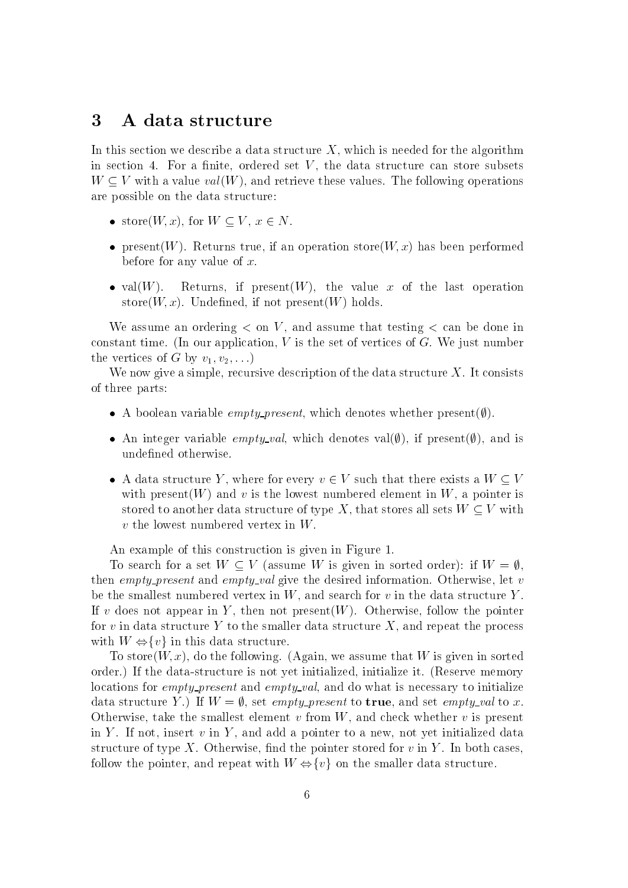#### 3 A data structure

In this section we describe a data structure  $X$ , which is needed for the algorithm in section 4. For a finite, ordered set  $V$ , the data structure can store subsets  $W \subseteq V$  with a value  $val(W)$ , and retrieve these values. The following operations are possible on the data structure:

- store $(W, x)$ , for  $W \subset V$ ,  $x \in N$ .
- present true, it are the operation store in an operation store (W; ) has been performed performed the complete before for any value of  $x$ .
- val $(W)$ . Returns, if present $(W)$ , the value x of the last operation store $(W, x)$ . Undefined, if not present $(W)$  holds.

We assume an ordering  $\lt$  on V, and assume that testing  $\lt$  can be done in constant time. (In our application,  $V$  is the set of vertices of  $G$ . We just number the vertices of G by  $v_1, v_2, \ldots$ )

We now give a simple, recursive description of the data structure  $X$ . It consists of three parts:

- A boolean variable *empty-present*, which denotes whether present( $\emptyset$ ).
- An integer variable *emptu-val*, which denotes val( $\emptyset$ ), if present( $\emptyset$ ), and is undefined otherwise.
- A data structure Y, where for every  $v \in V$  such that there exists a  $W \subset V$ with present  $(W)$  and v is the lowest numbered element in W, a pointer is stored to another data structure of type X, that stores all sets  $W \subseteq V$  with  $v$  the lowest numbered vertex in  $W$ .

An example of this construction is given in Figure 1.

To search for a set  $W \subseteq V$  (assume W is given in sorted order): if  $W = \emptyset$ . then empty-present and empty-val give the desired information. Otherwise, let v be the smallest numbered vertex in  $W$ , and search for v in the data structure Y. If v does not appear in Y , then not present(W). Otherwise, follow the pointer for v in data structure Y to the smaller data structure X, and repeat the process To search for a set  $W \subseteq V$  (assume  $V$ )<br>then *empty-present* and *empty-val* give th<br>be the smallest numbered vertex in  $W$ , are<br>If  $v$  does not appear in  $Y$ , then not pres-<br>for  $v$  in data structure  $Y$  to the smaller d

To store( $W, x$ ), do the following. (Again, we assume that W is given in sorted order.) If the data-structure is not yet initialized, initialize it. (Reserve memory locations for *empty-present* and *empty-val*, and do what is necessary to initialize data structure Y.) If  $W = \emptyset$ , set *empty-present* to **true**, and set *empty-val* to x. Otherwise, take the smallest element v from  $W$ , and check whether v is present in Y . If not, insert v insert v insert v insert v in Y , and a pointer to a new pointer to a new pointer to a structure of type X. Otherwise, find the pointer stored for  $v$  in Y. In both cases, follow the pointer, and repeation with W  $\Leftrightarrow$  for the smaller data structure Y.) If  $W = \emptyset$ , set *empty-present* to **true**, and set *empty-val* to x.<br>Otherwise, take the smallest element v from W, and check whether v i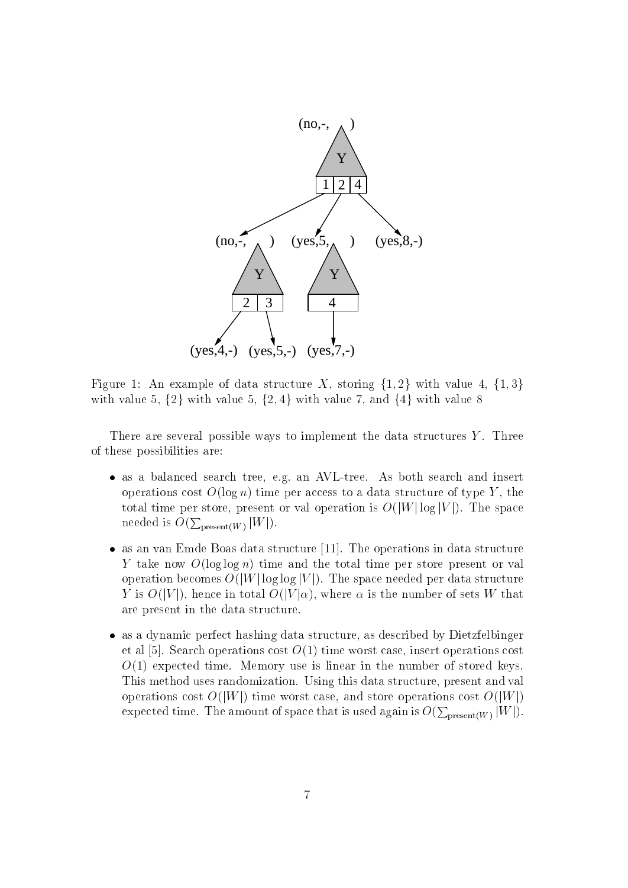

Figure 1: An example of data structure X, storing  $\{1,2\}$  with value 4,  $\{1,3\}$ with value 5,  $\{2\}$  with value 5,  $\{2, 4\}$  with value 7, and  $\{4\}$  with value 8

There are several possible ways to implement the data structures  $Y$ . Three of these possibilities are:

- as a balanced search tree. As a both search tree. As both search and insert and insert and insert and insert and insert and insert and insert and insert and insert and insert and insert and insert and insert and insert an operations cost  $O(\log n)$  time per access to a data structure of type Y, the total time per store, present or val operation is  $O(|W|\log|V|)$ . The space needed is  $O(\sum_{\text{present}(W)} |W|)$ .
- as an van Emde Boas data structure in data structure for the operations in data structure in data structure in Y take now  $O(\log \log n)$  time and the total time per store present or val operation becomes  $O(|W| \log \log |V|)$ . The space needed per data structure Y is  $O(|V|)$ , hence in total  $O(|V|\alpha)$ , where  $\alpha$  is the number of sets W that are present in the data structure.
- as a dynamic perfect hashing data structure, as described by Dietzfelbinger et al [5]. Search operations cost  $O(1)$  time worst case, insert operations cost  $O(1)$  expected time. Memory use is linear in the number of stored keys. This method uses randomization. Using this data structure, present and val operations cost  $O(|W|)$  time worst case, and store operations cost  $O(|W|)$ expected time. The amount of space that is used again is  $O(\sum_{\text{present}(W)} |W|)$ .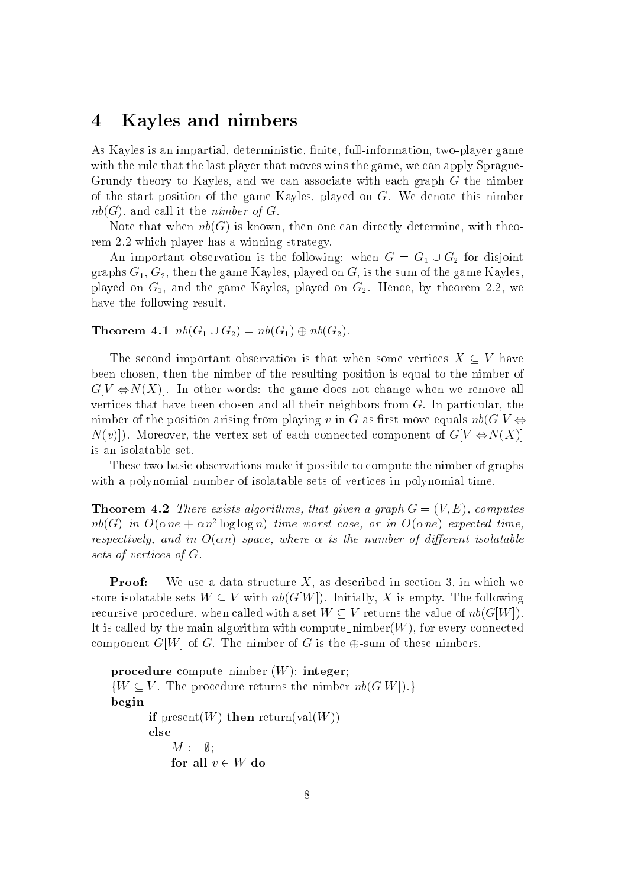#### Kayles and nimbers  $\boldsymbol{4}$

As Kayles is an impartial, deterministic, finite, full-information, two-player game with the rule that the last player that moves wins the game, we can apply Sprague-Grundy theory to Kayles, and we can associate with each graph G the nimber of the start position of the game Kayles, played on G. We denote this nimber  $nb(G)$ , and call it the *nimber of G*.

Note that when  $nb(G)$  is known, then one can directly determine, with theorem 2.2 which player has a winning strategy.

An important observation is the following: when  $G = G_1 \cup G_2$  for disjoint graphs  $G_1, G_2$ , then the game Kayles, played on G, is the sum of the game Kayles, played on  $G_1$ , and the game Kayles, played on  $G_2$ . Hence, by theorem 2.2, we have the following result.

**Theorem 4.1**  $nb(G_1 \cup G_2) = nb(G_1) \oplus nb(G_2)$ .

The second important observation is that when some vertices  $X \subseteq V$  have been chosen, then the nimber of the resulting position is equal to the nimber of  $G[V \Leftrightarrow N(X)].$  In other words: the game does not change when we remove all vertices that have been chosen and all their neighbors from  $G$ . In particular, the nimber of the position arising from playing v in G as first move equals  $nb(G[V \Leftrightarrow$  $N(v)$ . Moreover, the vertex set of each connected component of  $G[V \Leftrightarrow N(X)]$ is an isolatable set.

These two basic observations make it possible to compute the nimber of graphs with a polynomial number of isolatable sets of vertices in polynomial time.

**Theorem 4.2** There exists algorithms, that given a graph  $G = (V, E)$ , computes  $n$ v $(G)$  in  $O(\alpha n e + \alpha n^2 \log \log n)$  time worst case, or in  $O(\alpha n e)$  expected time, respectively, and in  $O(\alpha n)$  space, where  $\alpha$  is the number of different isolatable sets of vertices of G.

Proof: We use a data structure  $X$ , as described in section 3, in which we store isolatable sets  $W \subset V$  with  $nb(G[W])$ . Initially, X is empty. The following recursive procedure, when called with a set  $W \subseteq V$  returns the value of  $nb(G[W])$ . It is called by the main algorithm with compute nimber( $W$ ), for every connected component  $G[W]$  of G. The nimber of G is the  $\oplus$ -sum of these nimbers.

procedure compute nimber  $(W)$ : integer;  $\{W \subseteq V\right.$  The procedure returns the nimber  $nb(G[W])\$ . begin if present(W) then return(val(W)) else  $M := \emptyset;$ for all  $v \in W$  do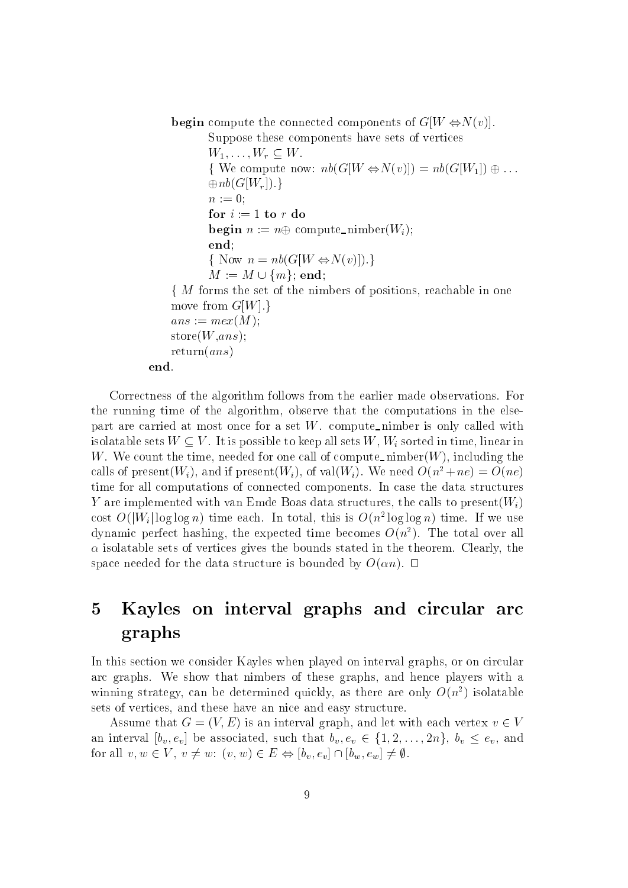**begin** compute the connected components of  $G[W \Leftrightarrow N(v)]$ .

Suppose these components have sets of vertices

 $W_1,\ldots,W_r\subseteq W$ .  $\{ W$ e compute now:  $nb(G[W \Leftrightarrow N(v)]) = nb(G[W_1]) \oplus \ldots$  $\oplus nb(G[W_r])$ .  $n := 0;$ for  $i := 1$  to r do **begin**  $n := n \oplus \text{compute\_nimber}(W_i);$ end;  $\{ \text{Now } n = nb(G[W \Leftrightarrow N(v)] \}.$  $m := 0; \ \textbf{for} \,\, i := 1 \,\, \textbf{to} \,\, r \,\, \textbf{do} \ \textbf{begin} \ n := n \oplus \,\, \mathrm{compute\_1} \ \textbf{end}; \ \{ \ \text{Now} \,\, n = n b (G[W \Leftrightarrow \! N(n) \, m := M \cup \{m\}; \,\textbf{end}; \ \textbf{end};$  $\sim$  M forms the set of the nimbers of positions, reachable in one move from  $G[W].$  $ans := mex(M);$  $store(W,ans);$ return $(as)$ end.

Correctness of the algorithm follows from the earlier made observations. For the running time of the algorithm, observe that the computations in the elsepart are carried at most once for a set  $W$ . compute nimber is only called with isolatable sets  $W \subseteq V$ . It is possible to keep all sets W,  $W_i$  sorted in time, linear in W. We count the time, needed for one call of compute nimber( $W$ ), including the calls of present $(W_i)$ , and if present $(W_i)$ , of val $(W_i)$ . We need  $O(n^2 + ne) = O(ne)$ time for all computations of connected components. In case the data structures Y are implemented with van Emde Boas data structures, the calls to present $(W_i)$ cost  $O(|W_i| \log \log n)$  time each. In total, this is  $O(n^2 \log \log n)$  time. If we use dynamic perfect hashing, the expected time becomes  $O(n^2)$ . The total over all  $\alpha$  isolatable sets of vertices gives the bounds stated in the theorem. Clearly, the space needed for the data structure is bounded by  $O(\alpha n)$ .  $\Box$ 

### $\bf{5}$ 5 Kayles on interval graphs and circular arc graphs

In this section we consider Kayles when played on interval graphs, or on circular arc graphs. We show that nimbers of these graphs, and hence players with a winning strategy, can be determined quickly, as there are only  $O(n^2)$  isolatable sets of vertices, and these have an nice and easy structure.

Assume that  $G = (V, E)$  is an interval graph, and let with each vertex  $v \in V$ an interval  $[b_v, e_v]$  be associated, such that  $b_v, e_v \in \{1, 2, \ldots, 2n\}, b_v \le e_v$ , and for all  $v, w \in V, v \neq w$ :  $(v, w) \in E \Leftrightarrow [b_v, e_v] \cap [b_w, e_w] \neq \emptyset$ .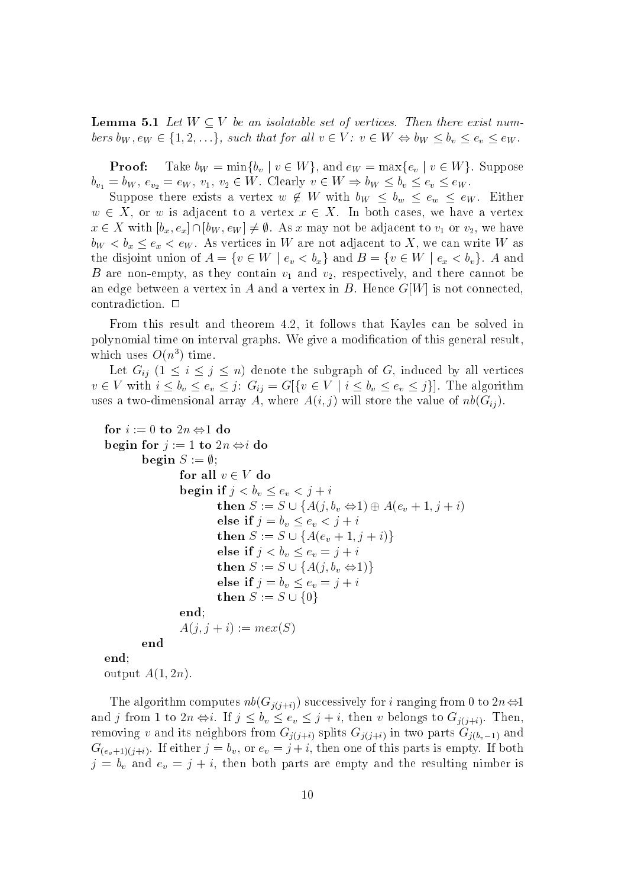**Lemma 5.1** Let  $W \subset V$  be an isolatable set of vertices. Then there exist numbers  $b_W, e_W \in \{1, 2, \ldots\}$ , such that for all  $v \in V$ :  $v \in W \Leftrightarrow b_W \leq b_v \leq e_v \leq e_W$ .

**Proof:** Take  $b_W = \min\{b_v \mid v \in W\}$ , and  $e_W = \max\{e_v \mid v \in W\}$ . Suppose  $b_{v_1} = b_W, e_{v_2} = e_W, v_1, v_2 \in W$ . Clearly  $v \in W \Rightarrow b_W \leq b_v \leq e_v \leq e_W$ .

Suppose there exists a vertex  $w \notin W$  with  $b_W \leq b_w \leq e_w \leq e_W$ . Either  $w \in X$ , or w is adjacent to a vertex  $x \in X$ . In both cases, we have a vertex  $x \in X$  with  $[b_x, e_x] \cap [b_W, e_W] \neq \emptyset$ . As x may not be adjacent to  $v_1$  or  $v_2$ , we have  $b_W < b_x \le e_x < e_W$ . As vertices in W are not adjacent to X, we can write W as the disjoint union of  $A = \{v \in W \mid e_v < b_x\}$  and  $B = \{v \in W \mid e_x < b_v\}$ . A and B are non-empty, as they contain v1 and v2, respectively, and there cannot be an edge between a vertex in A and a vertex in B. Hence  $G[W]$  is not connected. contradiction.  $\Box$ 

From this result and theorem 4.2, it follows that Kayles can be solved in polynomial time on interval graphs. We give a modification of this general result. which uses  $O(n^3)$  time.

Let  $G_{ii}$   $(1 \leq i \leq j \leq n)$  denote the subgraph of G, induced by all vertices  $v \in V$  with  $i \leq b_v \leq e_v \leq j$ :  $G_{ij} = G[\{v \in V \mid i \leq b_v \leq e_v \leq j\}].$  The algorithm uses a two-dimensional array A, where  $A(i, j)$  will store the value of  $nb(G_{ij})$ .

```
for i := 0 to 2n \Leftrightarrow 1 do
begin for j := 1 to 2n \Leftrightarrow i do
                      begin S := \emptyset;for all v \in V do
                                             begin if j < b_v \leq e_v < j + i\begin{split} &\text{if }j<\text{$b_v\leq b_v\leq e_v<j+i$}\ &\text{if }j< b_v\leq e_v<j+i$}\ &\text{then }S:=S\cup\{A(j,b_v\Leftrightarrow 1)\oplus A(e_v+1,j+i)\} \end{split}else if j = b_v \leq e_v < j + iv \in V do<br>
if j < b_v \le e_v < j + i<br>
then S := S \cup \{A(j, b_v \Leftrightarrow 1) \oplus A(e_v + 1, j - \text{else if } j = b_v \le e_v < j + i \text{then } S := S \cup \{A(e_v + 1, j + i)\}\else if j < b_v \leq e_v = j + i\begin{split} &\textbf{if } j < v_v \leq e_v < j + i\ &\textbf{then } S := S \cup \{A(j, b_v \Leftrightarrow 1) \oplus A(e_v + 1)\ \textbf{else if } j &= b_v \leq e_v < j + i\ &\textbf{then } S := S \cup \{A(e_v + 1, j + i)\}\ \textbf{else if } j &lt; b_v \leq e_v = j + i\ &\textbf{then } S := S \cup \{A(j, b_v \Leftrightarrow 1)\}\ \end{split}else if j = b_v \le e_v = j + ithen S := S \cup \{A(e_v + 1, j + i)\}<br>else if j < b_v \le e_v = j + i<br>then S := S \cup \{A(j, b_v \Leftrightarrow 1)\}<br>else if j = b_v \le e_v = j + i<br>then S := S \cup \{0\}endo a contra de la contra de la contra de la contra de la contra de la contra de la contra de la contra de la
                                            A(j, j + i) := mex(S)end
end;
```
output  $A(1, 2n)$ .

The algorithm computes  $nb(G_{j(j+i)})$  successively for i ranging from 0 to  $2n \Leftrightarrow 1$ and j from 1 to  $2n \Leftrightarrow i$ . If  $j \leq b_v \leq e_v \leq j + i$ , then v belongs to  $G_{j(j+i)}$ . Then, removing v and its neighbors from  $G_{j(j+i)}$  splits  $G_{j(j+i)}$  in two parts  $G_{j(b_v-1)}$  and  $G_{(e_v+1)(j+i)}$ . If either  $j=b_v$ , or  $e_v=j+i$ , then one of this parts is empty. If both  $j = b_v$  and  $e_v = j + i$ , then both parts are empty and the resulting nimber is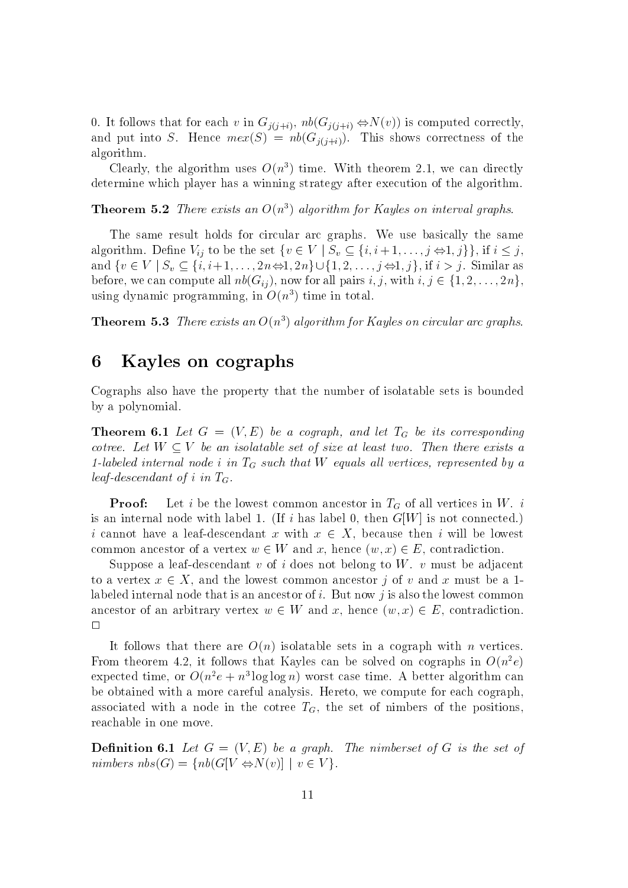0. It follows that for each v in  $G_{j(j+i)}$ ,  $nb(G_{j(j+i)} \Leftrightarrow N(v))$  is computed correctly, and put into S. Hence  $mex(S) = nb(G_{j(j+i)})$ . This shows correctness of the algorithm.

Clearly, the algorithm uses  $O(n^3)$  time. With theorem 2.1, we can directly determine which player has a winning strategy after execution of the algorithm.

**Theorem 5.2** There exists an  $O(n^3)$  algorithm for Kayles on interval graphs.

The same result holds for circular arc graphs. We use basically the same determine which player has a winning strategy after execution of the algorithm.<br> **Theorem 5.2** *There exists an*  $O(n^3)$  *algorithm for Kayles on interval graphs.*<br>
The same result holds for circular arc graphs. We use ba **Theorem 5.2** There exists an  $O(n^3)$  algorithm for Kayles on interval graphs.<br>The same result holds for circular arc graphs. We use basically the same algorithm. Define  $V_{ij}$  to be the set  $\{v \in V \mid S_v \subseteq \{i, i+1, \ldots, j \Leftright$ and  $\{v \in V \mid S_v \subseteq \{i, i+1, \ldots, 2n \Leftrightarrow 1, 2n\} \cup \{1, 2, \ldots, j \Leftrightarrow 1, j\}$ , if  $i > j$ . Similar as before, we can compute all  $nb(G_{ij})$ , now for all pairs  $i, j$ , with  $i, j \in \{1, 2, \ldots, 2n\}$ , using dynamic programming, in  $O(n^3)$  time in total.

**Theorem 5.3** There exists an  $O(n^3)$  algorithm for Kayles on circular arc graphs.

### 6 Kayles on cographs

Cographs also have the property that the number of isolatable sets is bounded by a polynomial.

**Theorem 6.1** Let  $G = (V, E)$  be a cograph, and let  $T_G$  be its corresponding cotree. Let  $W \subseteq V$  be an isolatable set of size at least two. Then there exists a 1-labeled internal node i in  $T_G$  such that W equals all vertices, represented by a

leaf-descendant of i in  $T_G$ .<br>**Proof:** Let i be the lowest common ancestor in  $T_G$  of all vertices in W. i is an internal node with label 1. (If i has label 0, then  $G[W]$  is not connected.) i cannot have a leaf-descendant x with  $x \in X$ , because then i will be lowest common ancestor of a vertex  $w \in W$  and x, hence  $(w, x) \in E$ , contradiction.

Suppose a leaf-descendant v of i does not belong to  $W$ . v must be adjacent to a vertex  $x \in X$ , and the lowest common ancestor j of v and x must be a 1labeled internal node that is an ancestor of  $i$ . But now  $j$  is also the lowest common ancestor of an arbitrary vertex  $w \in W$  and x, hence  $(w, x) \in E$ , contradiction.  $\Box$ 

It follows that there are  $O(n)$  isolatable sets in a cograph with n vertices. From theorem 4.2, it follows that Kayles can be solved on cographs in  $O(n^2e)$ expected time, or  $O(n^2e + n^2 \log \log n)$  worst case time. A better algorithm can be obtained with a more careful analysis. Hereto, we compute for each cograph, associated with a node in the cotree  $T_G$ , the set of nimbers of the positions, reachable in one move.

**Definition 6.1** Let  $G = (V, E)$  be a graph. The nimberset of G is the set of nimbers  $nbs(G) = \{ nb(G[V \Leftrightarrow N(v)] \mid v \in V \}.$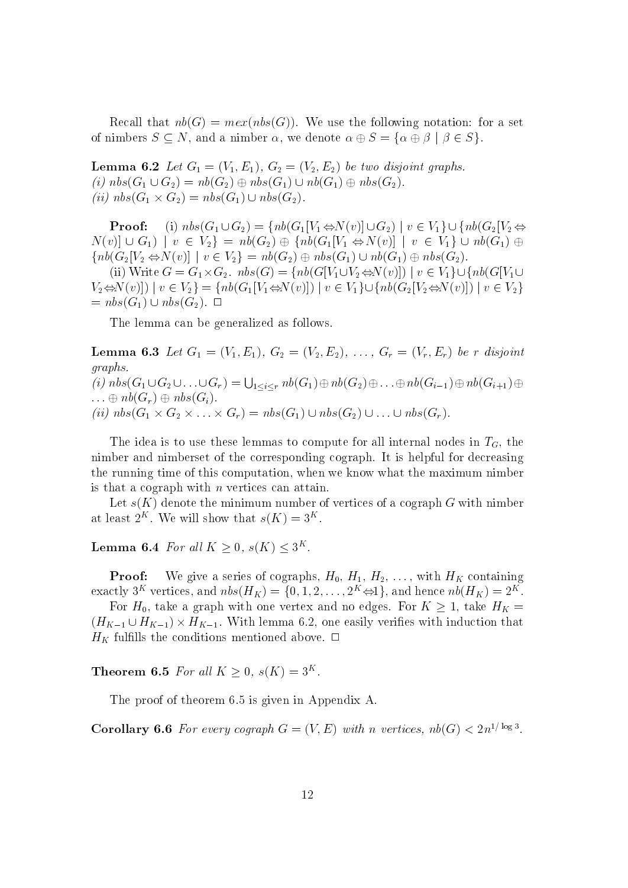Recall that  $nb(G) = mex(nbs(G))$ . We use the following notation: for a set of nimbers  $S \subseteq N$ , and a nimber  $\alpha$ , we denote  $\alpha \oplus S = {\alpha \oplus \beta \mid \beta \in S}$ .

Lemma 6.2 Let G1 = (V1; E1), G2 = (V2; E2) be two disjoint graphs. (i)  $nbs(G_1 \cup G_2) = nb(G_2) \oplus nbs(G_1) \cup nb(G_1) \oplus nbs(G_2).$ (ii)  $nbs(G_1 \times G_2) = nbs(G_1) \cup nbs(G_2)$ . Lemma 6.2 Let  $G_1 = (V_1, E_1)$ ,  $G_2 = (V_2, E_2)$  be two asjoint graphs.<br>
(i)  $nbs(G_1 \cup G_2) = nb(G_2) \oplus nbs(G_1) \cup nb(G_1) \oplus nbs(G_2)$ .<br>
(ii)  $nbs(G_1 \times G_2) = nbs(G_1) \cup nbs(G_2)$ .<br> **Proof:** (i)  $nbs(G_1 \cup G_2) = \{ nb(G_1[V_1 \Leftrightarrow N(v)] \cup G_2) \mid v \in V_1 \} \cup \{$ 

**Proof:** (i)  $nbs(G_1 \cup G_2) = \{nb(G_1[V_1 \Leftrightarrow N(v)] \cup G_2) \mid v \in V_1\} \cup \{nb(G_2[V_2 \Leftrightarrow$  $\{nb(G_2[V_2 \Leftrightarrow N(v)] \mid v \in V_2\} = nb(G_2) \oplus nbs(G_1) \cup nb(G_1) \oplus nbs(G_2).$ 

(ii) Write  $G = G_1 \times G_2$ .  $nbs(G) = \{ nb(G[V_1 \cup V_2 \Leftrightarrow N(v)]) \mid v \in V_1 \} \cup \{ nb(G[V_1 \cup V_2 \Leftrightarrow N(v)]) \mid v(G[V_2 \cup V_1 \Leftrightarrow N(v)]) \mid v(G[V_1 \cup V_2 \Leftrightarrow N(v)]) \mid v(G[V_2 \cup V_2 \Leftrightarrow N(v)]) \}$  $V_2 \Leftrightarrow N(v)|\ |v \in V_2\} = \{nb(G_1[V_1 \Leftrightarrow N(v)]) \ |v \in V_1\} \cup \{nb(G_2[V_2 \Leftrightarrow N(v)]) \ |v \in V_2\}$  $= nbs(G_1) \cup nbs(G_2). \ \Box$ 

The lemma can be generalized as follows.

Lemma 6.3 Let G1 <sup>=</sup> (V1; E1), G2 <sup>=</sup> (V2; E2), ..., Gr <sup>=</sup> (Vr ; Er) be <sup>r</sup> disjoint graphs.  $(i) \; nbs(G_1 \cup G_2 \cup \ldots \cup G_r) = \bigcup_{1 \leq i \leq r} n b(G_1) \oplus n b(G_2) \oplus \ldots \oplus n b(G_{i-1}) \oplus n b(G_{i+1}) \oplus \ldots$  $\ldots \oplus nb(G_r) \oplus nbs(G_i).$ (ii)  $nbs(G_1 \times G_2 \times \ldots \times G_r) = nbs(G_1) \cup nbs(G_2) \cup \ldots \cup nbs(G_r).$ 

The idea is to use these lemmas to compute for all internal nodes in  $T<sub>G</sub>$ , the nimber and nimberset of the corresponding cograph. It is helpful for decreasing the running time of this computation, when we know what the maximum nimber is that a cograph with  $n$  vertices can attain.

Let  $s(K)$  denote the minimum number of vertices of a cograph G with nimber at least  $2^{\pi}$ . We will show that  $s(\mathbf{A})=3^{\pi}$ .

**Lemma 6.4** For all  $K \geq 0$ ,  $s(K) \leq 3^K$ .

**Proof:** We give a series of cographs,  $H_0$ ,  $H_1$ ,  $H_2$ , ..., with  $H_K$  containing exactly 3<sup>K</sup> vertices, and  $nbs(H_K) = \{0, 1, 2, \ldots, 2^K \Leftrightarrow \mathbb{I}\}$ , and hence  $n b(H_K) = 2^K$ .

For  $H_0$ , take a graph with one vertex and no edges. For  $K \geq 1$ , take  $H_K =$  $(H_{K-1} \cup H_{K-1}) \times H_{K-1}$ . With lemma 6.2, one easily verifies with induction that  $H_K$  fulfills the conditions mentioned above.  $\Box$ 

**Theorem 6.5** For all  $K \geq 0$ ,  $s(K)=3^K$ .

The proof of theorem 6.5 is given in Appendix A.

**Corollary 6.6** For every cograph  $G = (V, E)$  with n vertices,  $nb(G) < 2n^{1/\log 3}$ .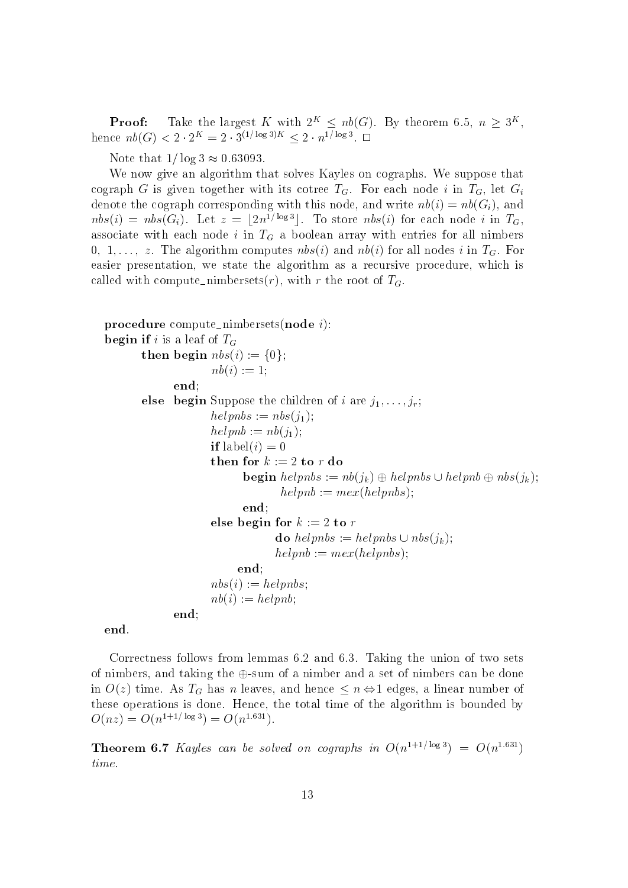**Proof:** Take the largest K with  $2^K \n\leq nb(G)$ . By theorem 6.5,  $n \geq 3^K$ , hence  $nb(G) < 2 \cdot 2^K = 2 \cdot 3^{(1/\log 3)K} < 2 \cdot n^{1/\log 3}$ .  $\Box$ 

Note that  $1/\log 3 \approx 0.63093$ .

We now give an algorithm that solves Kayles on cographs. We suppose that cograph G is given together with its cotree  $T_G$ . For each node i in  $T_G$ , let  $G_i$ denote the cograph corresponding with this node, and write  $nb(i) = nb(G_i)$ , and  $nbs(i) = nbs(G_i)$ . Let  $z = |2n^{1/\log 3}|$ . To store  $nbs(i)$  for each node i in  $T_G$ , associate with each node i in  $T_G$  a boolean array with entries for all nimbers 0, 1,..., z. The algorithm computes  $nbs(i)$  and  $nb(i)$  for all nodes i in  $T<sub>G</sub>$ . For easier presentation, we state the algorithm as a recursive procedure, which is called with compute nimbersets $(r)$ , with r the root of  $T_G$ .

```
procedure compute nimbersets (node i):
begin if i is a leaf of T_Gthen begin nbs(i) := \{0\};nb(i) := 1;
             end;
       else begin Suppose the children of i are j_1,\ldots,j_r;
                     helpnbs := nbs(j_1);helpnb := nb(j_1);if label(i) = 0
                     then for k := 2 to r do
                           begin helpnbs := nb(j_k) \oplus helpnbs \cup helpn b \oplus nbs(j_k);helpnb := mex(helpnbs);end;
                     else begin for k := 2 to r
                                 do helpnbs := helpnbs \cup nbs(j<sub>k</sub>);
                                 helpnb := mex(helphbs);end;
                     nbs(i) := helpnbs;nb(i) := helpnb;end;
```
end.

Correctness follows from lemmas 6.2 and 6.3. Taking the union of two sets of nimbers, and taking the  $\oplus$ -sum of a nimber and a set of nimbers can be done in  $O(z)$  time. As  $T_G$  has n leaves, and hence  $\leq n \Leftrightarrow 1$  edges, a linear number of these operations is done. Hence, the total time of the algorithm is bounded by  $O(nz) = O(n^{1+1/\log 3}) = O(n^{1.631}).$ 

**Theorem 6.7** Kayles can be solved on cographs in  $O(n^{1+1/\log 3}) = O(n^{1.631})$ time.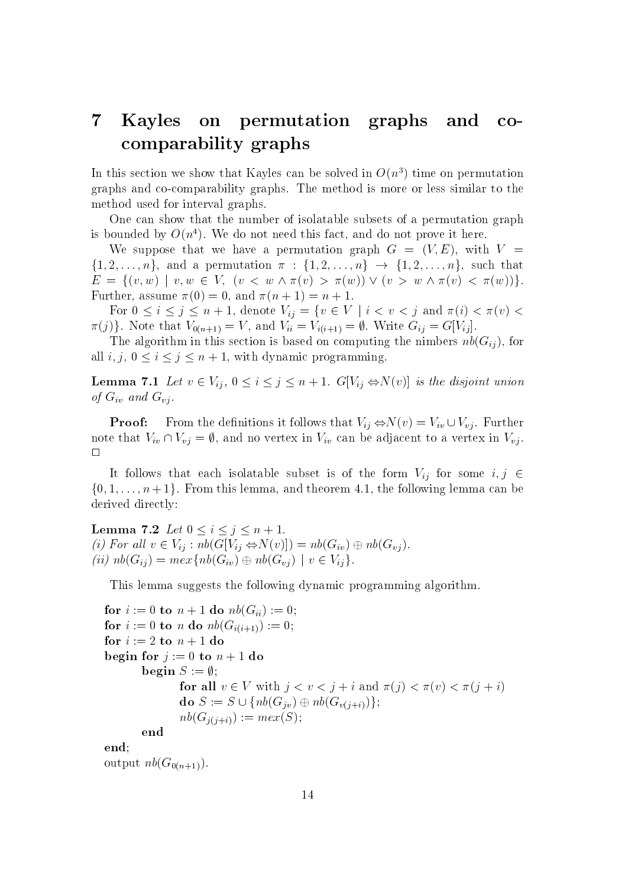#### $\overline{7}$ Kayles on permutation graphs and  $CO$ comparability graphs

In this section we show that Kayles can be solved in  $O(n^3)$  time on permutation graphs and co-comparability graphs. The method is more or less similar to the method used for interval graphs.

One can show that the number of isolatable subsets of a permutation graph is bounded by  $O(n^4)$ . We do not need this fact, and do not prove it here.

We suppose that we have a permutation graph  $G = (V, E)$ , with  $V =$  $\{1, 2, ..., n\}$ , and a permutation  $\pi : \{1, 2, ..., n\} \to \{1, 2, ..., n\}$ , such that  $E = \{(v, w) \mid v, w \in V, (v \leq w \land \pi(v) > \pi(w)) \lor (v > w \land \pi(v) < \pi(w))\}.$ Further, assume  $\pi(0) = 0$ , and  $\pi(n + 1) = n + 1$ .

For  $0 \le i \le j \le n + 1$ , denote  $V_{ij} = \{v \in V \mid i < v < j \text{ and } \pi(i) < \pi(v) < j \}$  $(\pi(j))$ . Note that  $V_{0(n+1)} = V$ , and  $V_{ii} = V_{i(i+1)} = \emptyset$ . Write  $G_{ij} = G[V_{ij}]$ .

The algorithm in this section is based on computing the nimbers  $nb(G_{ij})$ , for all  $i, j, 0 \le i \le j \le n + 1$ , with dynamic programming.

**Lemma 7.1** Let  $v \in V_{ij}$ ,  $0 \le i \le j \le n + 1$ .  $G[V_{ij} \Leftrightarrow N(v)]$  is the disjoint union of  $G_{iv}$  and  $G_{vi}$ .

**Proof:** From the definitions it follows that  $V_{ij} \Leftrightarrow N(v) = V_{iv} \cup V_{vj}$ . Further note that  $V_{iv} \cap V_{vj} = \emptyset$ , and no vertex in  $V_{iv}$  can be adjacent to a vertex in  $V_{vj}$ .

It follows that each isolatable subset is of the form  $V_{ij}$  for some  $i, j \in$  $\{0, 1, \ldots, n+1\}$ . From this lemma, and theorem 4.1, the following lemma can be derived directly:

**Lemma 7.2** Let  $0 \le i \le j \le n + 1$ .<br>(i) For all  $v \in V_{ij} : nb(G[V_{ij} \Leftrightarrow N(v)]) = nb(G_{iv}) \oplus nb(G_{vj})$ . (ii)  $nb(G_{ij}) = max\{nb(G_{iv}) \oplus nb(G_{vj}) \mid v \in V_{ij}\}.$ 

This lemma suggests the following dynamic programming algorithm.

```
for i := 0 to n + 1 do nb(G_{ii}) := 0;
for i := 0 to n do nb(G_{i(i+1)}) := 0;for i := 2 to n + 1 do
begin for j := 0 to n + 1 do
             begin S := \emptyset;for all v \in V with j < v < j + i and \pi(j) < \pi(v) < \pi(j + i)\begin{aligned} &\iota\textbf{ do}\ n\upsilon(\mathbf{G}_{i(i+1)}) := 0,\ &\iota+1\textbf{ do}\ &\mathbf{so}\ n+1\textbf{ do}\ &\mathbf{S} := \emptyset; \ &\textbf{for all}\ v\in V\ \text{with}\ j< v< j+i\ \text{and}\ \pi(j)\ &\textbf{do}\ S := S\cup \{nb(G_{iv})\oplus nb(G_{v(i+i)})\}; \end{aligned}nb(G_{j(j+i)}) := mex(S);end
end;
```
output  $nb(G_{0(n+1)})$ .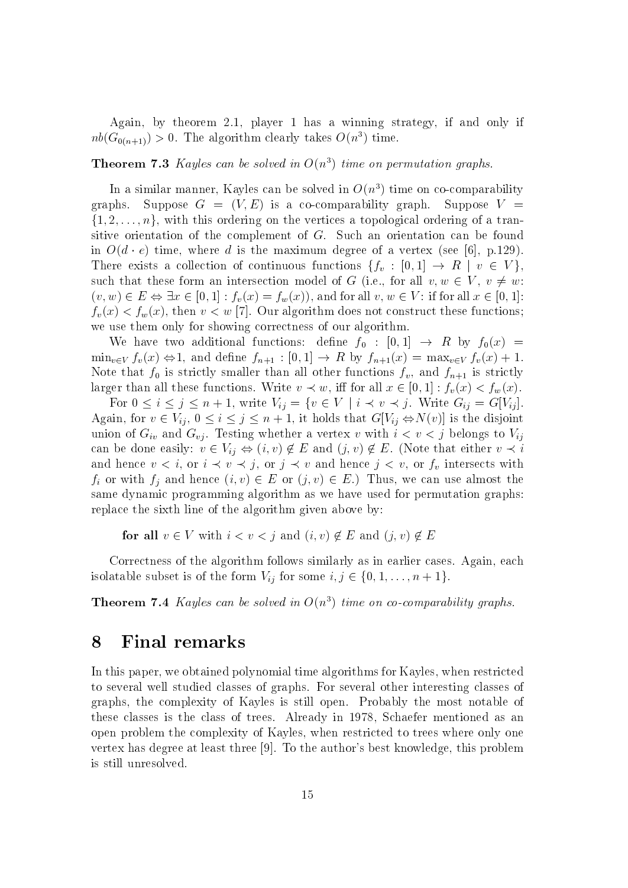Again, by theorem 2.1, player 1 has a winning strategy, if and only if  $nb(G_{0(n+1)}) > 0$ . The algorithm clearly takes  $O(n^3)$  time.

### **Theorem 7.3** Kayles can be solved in  $O(n^3)$  time on permutation graphs.

In a similar manner, Kayles can be solved in  $O(n^3)$  time on co-comparability graphs. Suppose  $G = (V, E)$  is a co-comparability graph. Suppose  $V =$  $\{1, 2, \ldots, n\}$ , with this ordering on the vertices a topological ordering of a transitive orientation of the complement of G. Such an orientation can be found in  $O(d \cdot e)$  time, where d is the maximum degree of a vertex (see [6], p.129). There exists a collection of continuous functions  $\{f_v : [0,1] \to R \mid v \in V\},\$ such that these form an intersection model of G (i.e., for all  $v, w \in V, v \neq w$ : (1, 2,...,  $n_f$ , with this ordering on the vertices a topological ordering of a transitive orientation of the complement of G. Such an orientation can be found in  $O(d \cdot e)$  time, where d is the maximum degree of a vertex (  $f_v(x) < f_w(x)$ , then  $v < w$  [7]. Our algorithm does not construct these functions; we use them only for showing correctness of our algorithm.

We have two additional functions: define  $f_0 : [0,1] \rightarrow R$  by  $f_0(x) =$  $\min_{v \in V} f_v(x) \Leftrightarrow 1$ , and define  $f_{n+1} : [0,1] \rightarrow R$  by  $f_{n+1}(x) = \max_{v \in V} f_v(x) + 1$ . Note that for strictly smaller than all other functions functions functions  $\mu$  , and for  $\mu$  is strictly for  $\mu$ larger than all these functions. Write  $v \prec w$ , iff for all  $x \in [0, 1] : f_v(x) < f_w(x)$ .

For  $0 \le i \le j \le n + 1$ , write  $V_{ij} = \{v \in V \mid i \prec v \prec j$ . Write  $G_{ij} = G[V_{ij}]$ . Again, for  $v \in V_{ij}$ ,  $0 \le i \le j \le n + 1$ , it holds that  $G[V_{ij} \Leftrightarrow N(v)]$  is the disjoint union of  $G_{iv}$  and  $G_{vj}$ . Testing whether a vertex v with  $i < v < j$  belongs to  $V_{ij}$ can be done easily:  $v \in V_{ij} \Leftrightarrow (i, v) \notin E$  and  $(j, v) \notin E$ . (Note that either  $v \prec i$ and hence  $v < i$ , or  $i \prec v \prec j$ , or  $j \prec v$  and hence  $j < v$ , or  $f_v$  intersects with  $f_i$  or with  $f_j$  and hence  $(i, v) \in E$  or  $(j, v) \in E$ .) Thus, we can use almost the same dynamic programming algorithm as we have used for permutation graphs: replace the sixth line of the algorithm given above by:

for all  $v \in V$  with  $i < v < j$  and  $(i, v) \notin E$  and  $(j, v) \notin E$ 

Correctness of the algorithm follows similarly as in earlier cases. Again, each replace the sixth line of the algorithm given above by:<br> **for all**  $v \in V$  with  $i < v < j$  and  $(i, v) \notin E$  and  $(j, v) \notin E$ <br>
Correctness of the algorithm follows similarly as in earlier cases. Ag<br>
isolatable subset is of the form

**Theorem 7.4** Kayles can be solved in  $O(n^3)$  time on co-comparability graphs.

### 8 Final remarks

In this paper, we obtained polynomial time algorithms for Kayles, when restricted to several well studied classes of graphs. For several other interesting classes of graphs, the complexity of Kayles is still open. Probably the most notable of these classes is the class of trees. Already in 1978, Schaefer mentioned as an open problem the complexity of Kayles, when restricted to trees where only one vertex has degree at least three [9]. To the author's best knowledge, this problem is still unresolved.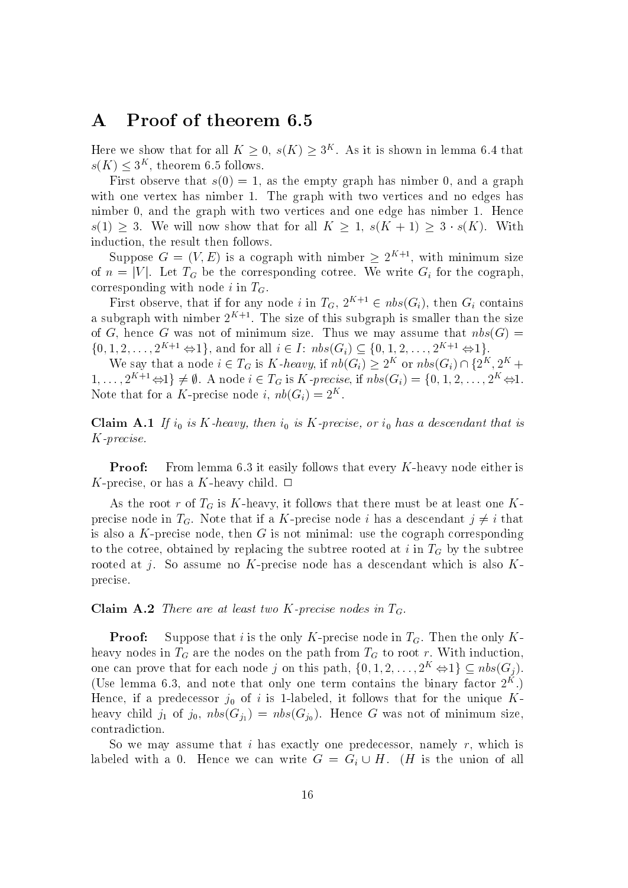### A Proof of theorem 6.5

Here we show that for all  $K \geq 0$ ,  $s(K) \geq 3^K$ . As it is shown in lemma 6.4 that  $s(K) \leq 3^K$ , theorem 6.5 follows.

First observe that  $s(0) = 1$ , as the empty graph has nimber 0, and a graph with one vertex has nimber 1. The graph with two vertices and no edges has nimber 0, and the graph with two vertices and one edge has nimber 1. Hence  $s(1) \geq 3$ . We will now show that for all  $K \geq 1$ ,  $s(K + 1) \geq 3 \cdot s(K)$ . With induction, the result then follows.

Suppose  $G = (V, E)$  is a cograph with nimber  $\geq 2^{K+1}$ , with minimum size of  $n = |V|$ . Let  $T_G$  be the corresponding cotree. We write  $G_i$  for the cograph, corresponding with node i in  $T<sub>G</sub>$ .

First observe, that if for any node i in  $T_G$ ,  $2^{K+1} \in nbs(G_i)$ , then  $G_i$  contains a subgraph with nimber  $2^{++}$ . The size of this subgraph is smaller than the size of G, hence G was not of minimum size. Thus we may assume that  $nbs(G)$  = for  $n = |v|$ . Let  $I_G$  be the corresponding correc. We write  $G_i$  for the cograph,<br>corresponding with node *i* in  $T_G$ .<br>First observe, that if for any node *i* in  $T_G$ ,  $2^{K+1} \in nbs(G_i)$ , then  $G_i$  contains<br>a subgraph with n  $\mathcal{G}(G_i)$ , then  $G_i$  contains<br>s smaller than the size<br>assume that  $nbs(G) =$ <br> $2, \ldots, 2^{K+1} \Leftrightarrow 1$ .<br>or  $nbs(G_i) \cap \{2^K, 2^K +$ a subgraph with nimber  $2^{K+1}$ . The size of this subgraph is smaller than the size<br>of G, hence G was not of minimum size. Thus we may assume that  $nbs(G) =$ <br> $\{0, 1, 2, ..., 2^{K+1} \Leftrightarrow 1\}$ , and for all  $i \in I$ :  $nbs(G_i) \subseteq \{0, 1,$ 

We say that a node  $i \in T_G$  is K-heavy, if  $nb(G_i) \geq 2^K$  or  $nbs(G_i) \cap \{2^K, 2^K +$ Note that for a  $\Lambda$ -precise node  $i, m($ G $_i) \equiv 2^{\infty}$ .

 $\mathcal{C}$  is the interval in the interval in the interval in the interval in the interval in the interval in the interval in the interval in the interval interval in the interval in the interval interval in the interval in K-precise.

**Proof:** From lemma 6.3 it easily follows that every K-heavy node either is K-precise, or has a K-heavy child.  $\Box$ 

As the root r of  $T_G$  is K-heavy, it follows that there must be at least one Kprecise node in  $T_G$ . Note that if a K-precise node i has a descendant  $j \neq i$  that is also a  $K$ -precise node, then  $G$  is not minimal: use the cograph corresponding to the cotree, obtained by replacing the subtree rooted at i in  $T<sub>G</sub>$  by the subtree rooted at j. So assume no K-precise node has a descendant which is also  $K$ precise.

**Claim A.2** There are at least two K-precise nodes in  $T_G$ .<br>**Proof:** Suppose that i is the only K-precise node in  $T_G$ . Then the only Kheavy nodes in  $T_G$  are the nodes on the path from  $T_G$  to root r. With induction, one can prove that for each node j on this path,  $\{0, 1, 2, \ldots, 2^K \Leftrightarrow 1\} \subseteq nbs(G_i)$ . (Use lemma 6.5, and note that only one term contains the binary factor  $Z^+,$  ) Hence, if a predecessor j0 of <sup>i</sup> is 1-labeled, it follows that for the unique K heavy child in the state  $\langle 11/2, 10/2, 10/2, 10/2, 10/2, 10/2, 10/2, 10/2, 10/2, 10/2, 10/2, 10/2, 10/2, 10/2, 10/2, 10/2, 10/2, 10/2, 10/2, 10/2, 10/2, 10/2, 10/2, 10/2, 10/2, 10/2, 10/2, 10/2, 10/2, 10/2, 10/2, 10/2,$ contradiction.

So we may assume that i has exactly one predecessor, namely  $r$ , which is labeled with a 0. Hence we can write  $G = G_i \cup H$ . (*H* is the union of all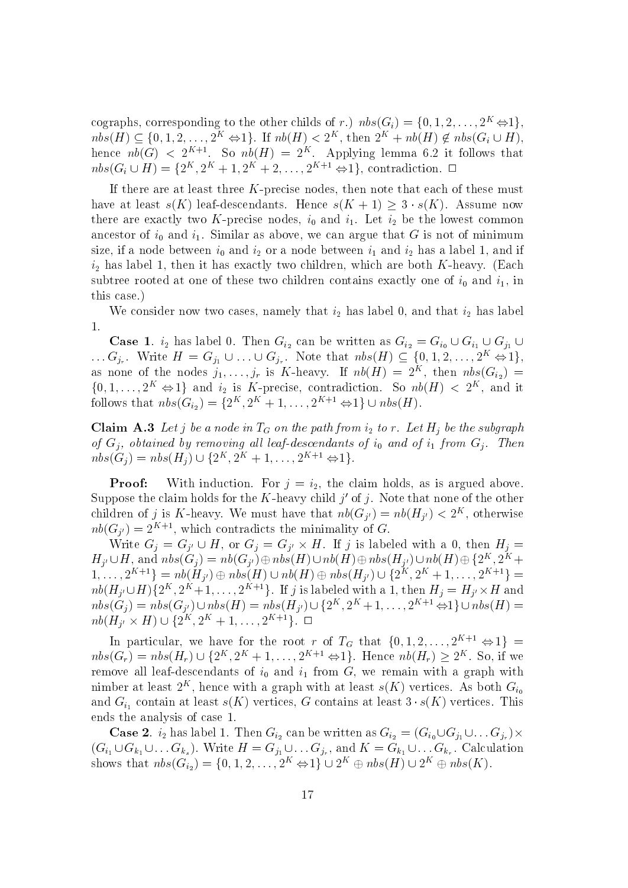cographs, corresponding to the other childs of r.)  $nbs(G_i) = \{0, 1, 2, \ldots, 2^K \Leftrightarrow 1\},\$ cographs, corresponding to the other childs of r.)  $nbs(G_i)$ <br> $nbs(H) \subset \{0, 1, 2, ..., 2^K \Leftrightarrow 1\}$ . If  $nb(H) < 2^K$ , then  $2^K$ .  $nbs(H) \subseteq \{0, 1, 2, \ldots, 2^K \Leftrightarrow 1\}$ . If  $nb(H) < 2^K$ , then  $2^K + nb(H) \notin nbs(G_i \cup H)$ , hence  $n\upsilon(G) \leq 2^{m+1}$ . So  $n\upsilon(H) = 2^m$ . Applying lemma 6.2 it follows that  $nbs(G_i \cup H) = \{2^K, 2^K + 1, 2^K + 2, \ldots, 2^{K+1} \Leftrightarrow 1\}$ , contradiction.  $\Box$ 

If there are at least three  $K$ -precise nodes, then note that each of these must have at least  $s(K)$  leaf-descendants. Hence  $s(K + 1) \geq 3 \cdot s(K)$ . Assume now there are exactly two K-precise nodes, i0 and i1. Let i2 be the lowest common and in and intervals as above, we can argue that G is not of  $\alpha$  is not of  $\alpha$  is not of  $\alpha$  is not of  $\alpha$ size, if a node between induced in and in and in and in a label in and in and in  $\Delta$  distribution in and if  $\Delta$ iz has label 1, then it has exactly two children, which are both K-heavy. (Each  $\mu$  -heavy. (Each K-heavy. (Each K-heavy. (Each K-heavy. (Each K-heavy. (Each K-heavy. (Each K-heavy. (Each K-heavy. (Each K-heavy. (Each Ksubtree rooted at one of these two children contains exactly one of i0 and i1, in  $\mathbf{u}$ this case.)

we consider now two cases, namely that i $2$  is now two cases in the i2 has label  $2$  has label  $\sim$ 1.

**Case 1**.  $i_2$  has label 0. Then  $G_{i_2}$  can be written as  $G_{i_2} = G_{i_0} \cup G_{i_1} \cup G_{i_1} \cup G_{i_2}$ ... $G_{j_r}$ . Write  $H = G_{j_1} \cup \ldots \cup G_{j_r}$ . Note that  $nbs(H) \subseteq \{0, 1, 2, \ldots, 2^K \Leftrightarrow 1\},$ as none of the nodes  $j_1,\ldots,j_r$  is K-heavy. If  $nv(\boldsymbol{H}) = 2^{K}$ , then  $nvs(\mathbf{G}_{i_2}) =$  $\{0, 1, \ldots, 2^K \Leftrightarrow 1\}$  and  $i_2$  is K-precise, contradiction. So  $nb(H) < 2^K$ , and it follows that  $nbs(G_{i_2}) = \{2^K, 2^K + 1, \ldots\}$ Then  $G_{i_2}$  can be written as  $G_{i_2} = G_{i_0}$ .<br>  $\cup G_{j_r}$ . Note that  $nbs(H) \subseteq \{0, 1, 2\}$ .<br>  $\cup_{j_r}$  is K-heavy. If  $n b(H) = 2^K$ , the K-precise, contradiction. So  $n b(H)$ ,  $2^K + 1, \ldots, 2^{K+1} \Leftrightarrow 1 \} \cup nbs(H)$ .

Claim A.3 Let j be a node in  $T_G$  on the path from  $i_2$  to r. Let  $H_i$  be the subgraph of  $G_j$ , obtained by removing all leaf-descendants of  $i_0$  and of  $i_1$  from  $G_j$ . Then  $\{0, 1, \ldots, 2^K \Leftrightarrow 1\}$  and  $i_2$  is K-preci<br>follows that  $nbs(G_{i_2}) = \{2^K, 2^K + 1,$ <br>**Claim A.3** Let j be a node in  $T_G$  on<br>of  $G_j$ , obtained by removing all leaf-<br> $nbs(G_j) = nbs(H_j) \cup \{2^K, 2^K + 1, \ldots\}$  $nbs(G_i) = nbs(H_i) \cup \{2^K, 2^K + 1, \ldots, 2^{K+1} \Leftrightarrow 1\}.$ 

**Proof:** With induction. For  $j = i_2$ , the claim holds, as is argued above. Suppose the claim holds for the  $K$ -heavy child  $\gamma$  of  $\gamma$ . Note that none of the other children of j is  $K$ -heavy. We must have that  $n\theta(G_{j'}) = n\theta(H_{j'}) \leq 2$ , otherwise  $n_{\theta}(\mathbf{G}_{j'})=2\pi+\pi$ , which contradicts the minimality of  $\mathbf{G}_{j}$ . **Herol:** With induction. For  $j = i_2$ , the claim holds, as is argued above.<br>Suppose the claim holds for the K-heavy child j' of j. Note that none of the other<br>children of j is K-heavy. We must have that  $nb(G_{j'}) = nb(H_{j'}) < 2^K$ ,

Write  $G_i = G_{i'} \cup H$ , or  $G_i = G_{i'} \times H$ . If j is labeled with a 0, then  $H_i =$  $H_{j'} \cup H$ , and  $nbs(G_j) = nb(G_{j'}) \oplus nbs(H) \cup nb(H) \oplus nbs(H_{j'}) \cup nb(H) \oplus \{2^K, 2^K +$ suppose the claim holds for the *K*-heavy child *f* or *f* or *f*. Note that hole of children of *j* is *K*-heavy. We must have that  $nb(G_{j'}) = nb(H_{j'}) < 2^K$ ,  $nb(G_{j'}) = 2^{K+1}$ , which contradicts the minimality of *G*.<br>Write  $G_j = G$  $\{1,\ldots,2^{K+1}\} = nb(H_{i'}) \oplus nbs(H) \cup nb(H) \oplus nbs(H_{i'}) \cup \{2^{K},2^{K}+1,\ldots,2^{K+1}\} =$  $nb(H_{i'} \cup H)\{2^K, 2^K+1,\ldots, 2^{K+1}\}$ . If j is labeled with a 1, then  $H_i = H_{i'} \times H$  and nbs( $G_j$ ) = 2 b), which contradicts the infinitious of  $G$ .<br>
Write  $G_j = G_{j'} \cup H$ , or  $G_j = G_{j'} \times H$ . If j is labeled with a 0, then  $H_j = H_{j'} \cup H$ , and  $nbs(G_j) = nb(G_{j'}) \oplus nb(s(H) \cup nb(H) \oplus nb(s(H_{j'}) \cup nb(H) \oplus \{2^K, 2^K + 1, ..., 2^{K+1}\} = nb(H_{j'}) \oplus nb(s(H$  $nb(H_{i'} \times H) \cup \{2^K, 2^K + 1, \ldots, 2^{K+1}\}. \ \ \Box$  $G_j = G_{j'} \cup H$ , of  $G_j$ <br>
and  $nbs(G_j) = nb(G_j)$ <br>  $f^{-1}$ } =  $nb(H_{j'}) \oplus nbs$ <br>  $H)$ {2<sup>K</sup>, 2<sup>K</sup> + 1, ..., 2<sup>K</sup><br>  $H$ )  $\cup$  {2<sup>K</sup>, 2<sup>K</sup> + 1, ...  $n b(H_{j'} \cup H)\{2^K, 2^{K}+1, \ldots, 2^{K+1}\}$ . If<br>  $n b s(G_j) = n b s(G_{j'}) \cup n b s(H) = n b s(I)$ <br>  $n b(H_{j'} \times H) \cup \{2^K, 2^K + 1, \ldots, 2^{K+1}\}$ <br>
In particular, we have for the records  $n b s(G_r) = n b s(H_r) \cup \{2^K, 2^K + 1, \ldots\}$ 

In particular, we have for the root r of  $T_G$  that  $\{0, 1, 2, \ldots, 2^{K+1} \Leftrightarrow 1\}$  =  $, 2<sup>K</sup> + 1, \ldots, 2<sup>K+1</sup> \Leftrightarrow 1$ . Hence  $nb(H_r) \geq 2<sup>K</sup>$ . So, if we remove all leaf-descendants of indicates of indicates of indicates of indicates  $\alpha$ nimber at least  $2^{**}$ , hence with a graph with at least  $s(\Lambda)$  vertices. As both  $\sigma_{i_0}$ and  $G_{i_1}$  contain at least  $s(K)$  vertices, G contains at least  $3 \cdot s(K)$  vertices. This ends the analysis of case 1.

**Case 2.**  $i_2$  has label 1. Then  $G_{i_2}$  can be written as  $G_{i_2} = (G_{i_0} \cup G_{j_1} \cup \ldots G_{j_r}) \times$  $(G_{i_1} \cup G_{k_1} \cup \ldots G_{k_s}).$  Write  $H = G_{j_1} \cup \ldots G_{j_r}$ , and  $K = G_{k_1} \cup \ldots G_{k_r}$ . Calculation shows that  $n s(s)$  is  $G$  ) vertices. As both  $G_i$ <br>shows that nbs( $G_i$ ) vertices,  $G$  contains at least  $3 \cdot s(K)$  vertices. Thi<br>ends the analysis of case 1.<br> $\text{Case 2. } i_2$  has label 1. Then  $G_{i_2}$  can be written as  $G_{i_2}$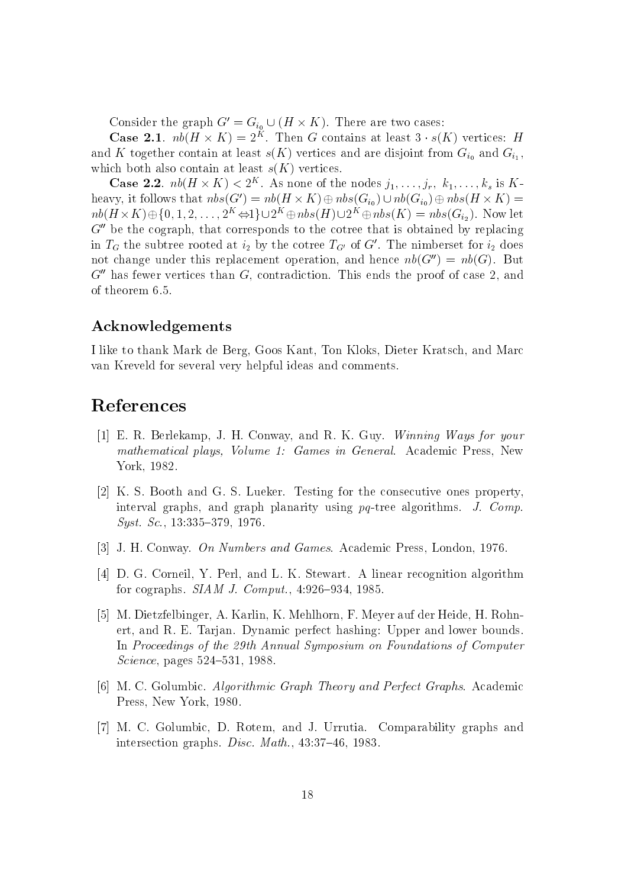Consider the graph  $G' = G_{i_0} \cup (H \times K)$ . There are two cases:

**Case 2.1.**  $nb(H \times K) = 2^{K}$ . Then G contains at least  $3 \cdot s(K)$  vertices: H and K together contain at least  $s(K)$  vertices and are disjoint from  $G_{i_0}$  and  $G_{i_1}$ , which both also contain at least  $s(K)$  vertices.

**Case 2.2.**  $nb(H \times K) < 2^K$ . As none of the nodes  $j_1, \ldots, j_r, k_1, \ldots, k_s$  is Kheavy, it follows that  $nbs(G') = nb(H \times K) \oplus nbs(G_{i_0}) \cup nb(G_{i_0}) \oplus nbs(H \times K) =$  $nb(H \times K) \oplus \{0, 1, 2, \ldots, 2^K \Leftrightarrow 1\} \cup 2^K \oplus nbs(H) \cup 2^K \oplus nbs(K) = nbs(G_{i_2}).$  Now let  $G''$  be the cograph, that corresponds to the cotree that is obtained by replacing in  $T_G$  the subtree rooted at  $i_2$  by the cotree  $T_{G'}$  of G'. The nimberset for  $i_2$  does not change under this replacement operation, and hence  $nb(G'') = nb(G)$ . But  $G''$  has fewer vertices than G, contradiction. This ends the proof of case 2, and of theorem 6.5.

### Acknowledgements

I like to thank Mark de Berg, Goos Kant, Ton Kloks, Dieter Kratsch, and Marc van Kreveld for several very helpful ideas and comments.

## References

- [1] E. R. Berlekamp, J. H. Conway, and R. K. Guy. Winning Ways for your mathematical plays, Volume 1: Games in General. Academic Press, New York, 1982.
- [2] K. S. Booth and G. S. Lueker. Testing for the consecutive ones property, interval graphs, and graph planarity using pq-tree algorithms. J. Comp.  $Syst. Sc., 13:335-379, 1976.$
- [3] J. H. Conway. On Numbers and Games. Academic Press, London, 1976.
- [4] D. G. Corneil, Y. Perl, and L. K. Stewart. A linear recognition algorithm for cographs.  $SIAM$  J. Comput., 4:926-934, 1985.
- [5] M. Dietzfelbinger, A. Karlin, K. Mehlhorn, F. Meyer auf der Heide, H. Rohnert, and R. E. Tarjan. Dynamic perfect hashing: Upper and lower bounds. In Proceedings of the 29th Annual Symposium on Foundations of Computer  $Science, pages 524–531, 1988.$
- [6] M. C. Golumbic. Algorithmic Graph Theory and Perfect Graphs. Academic Press, New York, 1980.
- [7] M. C. Golumbic, D. Rotem, and J. Urrutia. Comparability graphs and intersection graphs. Disc. Math.,  $43:37-46$ , 1983.